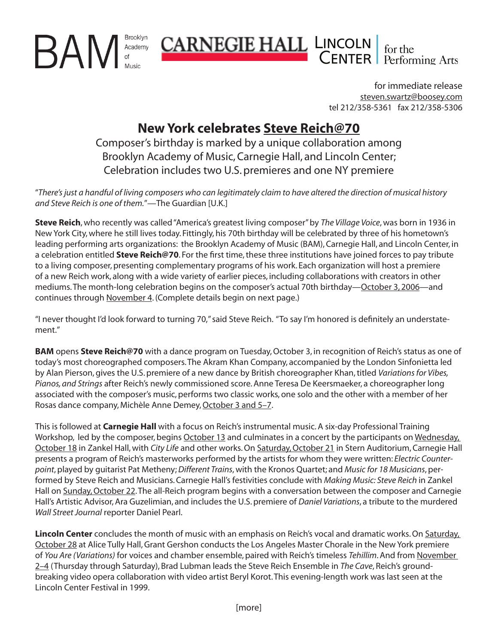Brooklyn BAN Academy

> for immediate release steven.swartz@boosey.com tel 212/358-5361 fax 212/358-5306

# **New York celebrates Steve Reich@70**

**CARNEGIE HALL LINCOLN** for the CENTER Performing Arts

Composer's birthday is marked by a unique collaboration among Brooklyn Academy of Music, Carnegie Hall, and Lincoln Center; Celebration includes two U.S. premieres and one NY premiere

"*There's just a handful of living composers who can legitimately claim to have altered the direction of musical history and Steve Reich is one of them.*"—The Guardian [U.K.]

**Steve Reich**, who recently was called "America's greatest living composer" by *The Village Voice*, was born in 1936 in New York City, where he still lives today. Fittingly, his 70th birthday will be celebrated by three of his hometown's leading performing arts organizations: the Brooklyn Academy of Music (BAM), Carnegie Hall, and Lincoln Center, in a celebration entitled **Steve Reich@70**. For the first time, these three institutions have joined forces to pay tribute to a living composer, presenting complementary programs of his work. Each organization will host a premiere of a new Reich work, along with a wide variety of earlier pieces, including collaborations with creators in other mediums. The month-long celebration begins on the composer's actual 70th birthday—October 3, 2006—and continues through November 4. (Complete details begin on next page.)

"I never thought I'd look forward to turning 70," said Steve Reich. "To say I'm honored is definitely an understatement."

**BAM** opens **Steve Reich@70** with a dance program on Tuesday, October 3, in recognition of Reich's status as one of today's most choreographed composers. The Akram Khan Company, accompanied by the London Sinfonietta led by Alan Pierson, gives the U.S. premiere of a new dance by British choreographer Khan, titled *Variations for Vibes, Pianos, and Strings* after Reich's newly commissioned score. Anne Teresa De Keersmaeker, a choreographer long associated with the composer's music, performs two classic works, one solo and the other with a member of her Rosas dance company, Michèle Anne Demey, October 3 and 5–7.

This is followed at **Carnegie Hall** with a focus on Reich's instrumental music. A six-day Professional Training Workshop, led by the composer, begins October 13 and culminates in a concert by the participants on Wednesday, October 18 in Zankel Hall, with *City Life* and other works. On Saturday, October 21 in Stern Auditorium, Carnegie Hall presents a program of Reich's masterworks performed by the artists for whom they were written: *Electric Counterpoint*, played by guitarist Pat Metheny; *Different Trains*, with the Kronos Quartet; and *Music for 18 Musicians*, performed by Steve Reich and Musicians. Carnegie Hall's festivities conclude with *Making Music: Steve Reich* in Zankel Hall on Sunday, October 22. The all-Reich program begins with a conversation between the composer and Carnegie Hall's Artistic Advisor, Ara Guzelimian, and includes the U.S. premiere of *Daniel Variations*, a tribute to the murdered *Wall Street Journal* reporter Daniel Pearl.

**Lincoln Center** concludes the month of music with an emphasis on Reich's vocal and dramatic works. On Saturday, October 28 at Alice Tully Hall, Grant Gershon conducts the Los Angeles Master Chorale in the New York premiere of *You Are (Variations)* for voices and chamber ensemble, paired with Reich's timeless *Tehillim*. And from November 2–4 (Thursday through Saturday), Brad Lubman leads the Steve Reich Ensemble in *The Cave*, Reich's groundbreaking video opera collaboration with video artist Beryl Korot. This evening-length work was last seen at the Lincoln Center Festival in 1999.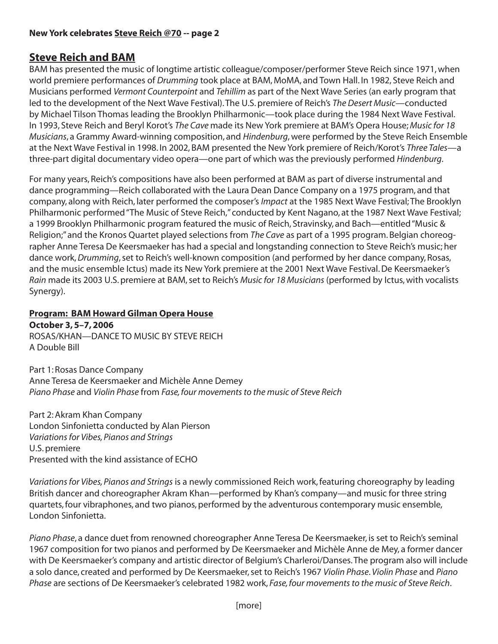## **Steve Reich and BAM**

BAM has presented the music of longtime artistic colleague/composer/performer Steve Reich since 1971, when world premiere performances of *Drumming* took place at BAM, MoMA, and Town Hall. In 1982, Steve Reich and Musicians performed *Vermont Counterpoint* and *Tehillim* as part of the Next Wave Series (an early program that led to the development of the Next Wave Festival). The U.S. premiere of Reich's *The Desert Music*—conducted by Michael Tilson Thomas leading the Brooklyn Philharmonic—took place during the 1984 Next Wave Festival. In 1993, Steve Reich and Beryl Korot's *The Cave* made its New York premiere at BAM's Opera House; *Music for 18 Musicians*, a Grammy Award-winning composition, and *Hindenburg*, were performed by the Steve Reich Ensemble at the Next Wave Festival in 1998. In 2002, BAM presented the New York premiere of Reich/Korot's *Three Tales*—a three-part digital documentary video opera—one part of which was the previously performed *Hindenburg*.

For many years, Reich's compositions have also been performed at BAM as part of diverse instrumental and dance programming—Reich collaborated with the Laura Dean Dance Company on a 1975 program, and that company, along with Reich, later performed the composer's *Impact* at the 1985 Next Wave Festival; The Brooklyn Philharmonic performed "The Music of Steve Reich," conducted by Kent Nagano, at the 1987 Next Wave Festival; a 1999 Brooklyn Philharmonic program featured the music of Reich, Stravinsky, and Bach—entitled "Music & Religion;" and the Kronos Quartet played selections from *The Cave* as part of a 1995 program. Belgian choreographer Anne Teresa De Keersmaeker has had a special and longstanding connection to Steve Reich's music; her dance work, *Drumming*, set to Reich's well-known composition (and performed by her dance company, Rosas, and the music ensemble Ictus) made its New York premiere at the 2001 Next Wave Festival. De Keersmaeker's *Rain* made its 2003 U.S. premiere at BAM, set to Reich's *Music for 18 Musicians* (performed by Ictus, with vocalists Synergy).

# **Program: BAM Howard Gilman Opera House**

**October 3, 5–7, 2006**  ROSAS/KHAN—DANCE TO MUSIC BY STEVE REICH A Double Bill

Part 1: Rosas Dance Company Anne Teresa de Keersmaeker and Michèle Anne Demey *Piano Phase* and *Violin Phase* from *Fase, four movements to the music of Steve Reich* 

Part 2: Akram Khan Company London Sinfonietta conducted by Alan Pierson *Variations for Vibes, Pianos and Strings* U.S. premiere Presented with the kind assistance of ECHO

*Variations for Vibes, Pianos and Strings* is a newly commissioned Reich work, featuring choreography by leading British dancer and choreographer Akram Khan—performed by Khan's company—and music for three string quartets, four vibraphones, and two pianos, performed by the adventurous contemporary music ensemble, London Sinfonietta.

*Piano Phase*, a dance duet from renowned choreographer Anne Teresa De Keersmaeker, is set to Reich's seminal 1967 composition for two pianos and performed by De Keersmaeker and Michèle Anne de Mey, a former dancer with De Keersmaeker's company and artistic director of Belgium's Charleroi/Danses. The program also will include a solo dance, created and performed by De Keersmaeker, set to Reich's 1967 *Violin Phase*. *Violin Phase* and *Piano Phase* are sections of De Keersmaeker's celebrated 1982 work, *Fase, four movements to the music of Steve Reich*.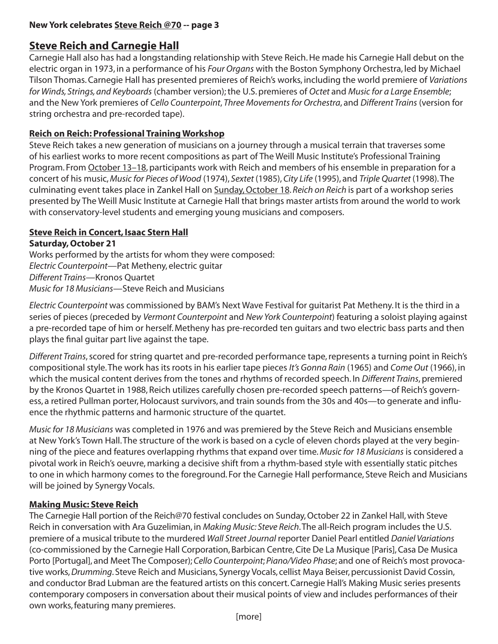## **Steve Reich and Carnegie Hall**

Carnegie Hall also has had a longstanding relationship with Steve Reich. He made his Carnegie Hall debut on the electric organ in 1973, in a performance of his *Four Organs* with the Boston Symphony Orchestra, led by Michael Tilson Thomas. Carnegie Hall has presented premieres of Reich's works, including the world premiere of *Variations for Winds, Strings, and Keyboards* (chamber version); the U.S. premieres of *Octet* and *Music for a Large Ensemble*; and the New York premieres of *Cello Counterpoint*, *Three Movements for Orchestra*, and *Different Trains* (version for string orchestra and pre-recorded tape).

#### **Reich on Reich: Professional Training Workshop**

Steve Reich takes a new generation of musicians on a journey through a musical terrain that traverses some of his earliest works to more recent compositions as part of The Weill Music Institute's Professional Training Program. From October 13–18, participants work with Reich and members of his ensemble in preparation for a concert of his music, *Music for Pieces of Wood* (1974), *Sextet* (1985), *City Life* (1995), and *Triple Quartet* (1998). The culminating event takes place in Zankel Hall on Sunday, October 18. *Reich on Reich* is part of a workshop series presented by The Weill Music Institute at Carnegie Hall that brings master artists from around the world to work with conservatory-level students and emerging young musicians and composers.

#### **Steve Reich in Concert, Isaac Stern Hall**

**Saturday, October 21**

Works performed by the artists for whom they were composed: *Electric Counterpoint*—Pat Metheny, electric guitar *Different Trains*—Kronos Quartet *Music for 18 Musicians*—Steve Reich and Musicians

*Electric Counterpoint* was commissioned by BAM's Next Wave Festival for guitarist Pat Metheny. It is the third in a series of pieces (preceded by *Vermont Counterpoint* and *New York Counterpoint*) featuring a soloist playing against a pre-recorded tape of him or herself. Metheny has pre-recorded ten guitars and two electric bass parts and then plays the final guitar part live against the tape.

*Different Trains*, scored for string quartet and pre-recorded performance tape, represents a turning point in Reich's compositional style. The work has its roots in his earlier tape pieces *It's Gonna Rain* (1965) and *Come Out* (1966), in which the musical content derives from the tones and rhythms of recorded speech. In *Different Trains*, premiered by the Kronos Quartet in 1988, Reich utilizes carefully chosen pre-recorded speech patterns—of Reich's governess, a retired Pullman porter, Holocaust survivors, and train sounds from the 30s and 40s—to generate and influence the rhythmic patterns and harmonic structure of the quartet.

*Music for 18 Musicians* was completed in 1976 and was premiered by the Steve Reich and Musicians ensemble at New York's Town Hall. The structure of the work is based on a cycle of eleven chords played at the very beginning of the piece and features overlapping rhythms that expand over time. *Music for 18 Musicians* is considered a pivotal work in Reich's oeuvre, marking a decisive shift from a rhythm-based style with essentially static pitches to one in which harmony comes to the foreground. For the Carnegie Hall performance, Steve Reich and Musicians will be joined by Synergy Vocals.

#### **Making Music: Steve Reich**

The Carnegie Hall portion of the Reich@70 festival concludes on Sunday, October 22 in Zankel Hall, with Steve Reich in conversation with Ara Guzelimian, in *Making Music: Steve Reich*. The all-Reich program includes the U.S. premiere of a musical tribute to the murdered *Wall Street Journal* reporter Daniel Pearl entitled *Daniel Variations* (co-commissioned by the Carnegie Hall Corporation, Barbican Centre, Cite De La Musique [Paris], Casa De Musica Porto [Portugal], and Meet The Composer); *Cello Counterpoint*; *Piano/Video Phase*; and one of Reich's most provocative works, *Drumming*. Steve Reich and Musicians, Synergy Vocals, cellist Maya Beiser, percussionist David Cossin, and conductor Brad Lubman are the featured artists on this concert. Carnegie Hall's Making Music series presents contemporary composers in conversation about their musical points of view and includes performances of their own works, featuring many premieres.